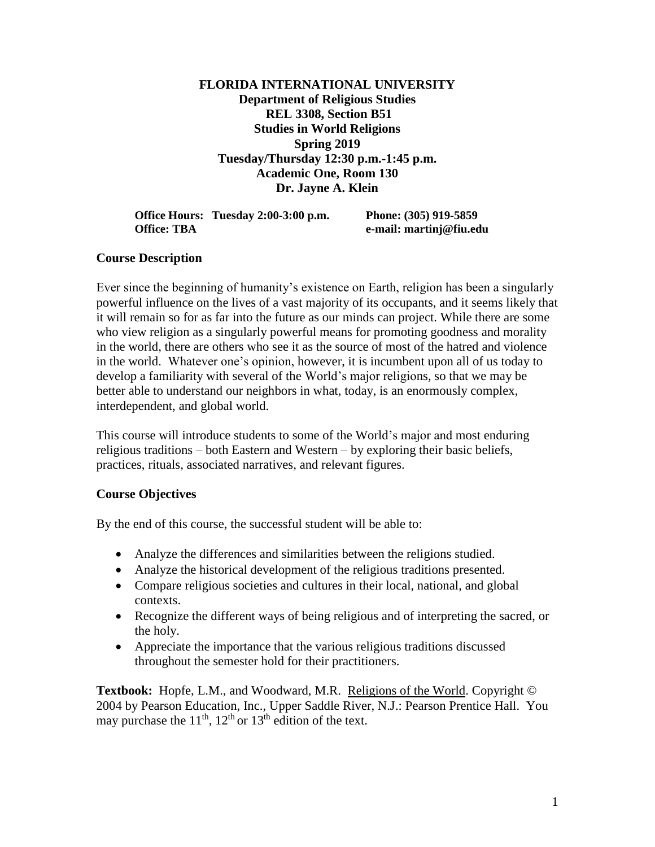## **FLORIDA INTERNATIONAL UNIVERSITY Department of Religious Studies REL 3308, Section B51 Studies in World Religions Spring 2019 Tuesday/Thursday 12:30 p.m.-1:45 p.m. Academic One, Room 130 Dr. Jayne A. Klein**

|                    | Office Hours: Tuesday 2:00-3:00 p.m. | Phone: (305) 919-5859   |
|--------------------|--------------------------------------|-------------------------|
| <b>Office: TBA</b> |                                      | e-mail: martinj@fiu.edu |

## **Course Description**

Ever since the beginning of humanity's existence on Earth, religion has been a singularly powerful influence on the lives of a vast majority of its occupants, and it seems likely that it will remain so for as far into the future as our minds can project. While there are some who view religion as a singularly powerful means for promoting goodness and morality in the world, there are others who see it as the source of most of the hatred and violence in the world. Whatever one's opinion, however, it is incumbent upon all of us today to develop a familiarity with several of the World's major religions, so that we may be better able to understand our neighbors in what, today, is an enormously complex, interdependent, and global world.

This course will introduce students to some of the World's major and most enduring religious traditions – both Eastern and Western – by exploring their basic beliefs, practices, rituals, associated narratives, and relevant figures.

## **Course Objectives**

By the end of this course, the successful student will be able to:

- Analyze the differences and similarities between the religions studied.
- Analyze the historical development of the religious traditions presented.
- Compare religious societies and cultures in their local, national, and global contexts.
- Recognize the different ways of being religious and of interpreting the sacred, or the holy.
- Appreciate the importance that the various religious traditions discussed throughout the semester hold for their practitioners.

**Textbook:** Hopfe, L.M., and Woodward, M.R. Religions of the World. Copyright © 2004 by Pearson Education, Inc., Upper Saddle River, N.J.: Pearson Prentice Hall. You may purchase the  $11<sup>th</sup>$ ,  $12<sup>th</sup>$  or  $13<sup>th</sup>$  edition of the text.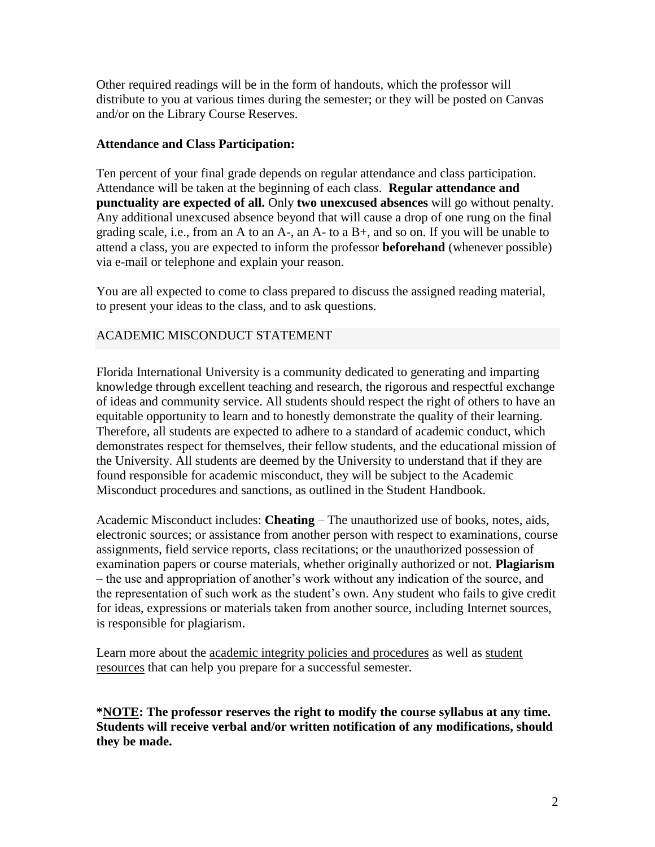Other required readings will be in the form of handouts, which the professor will distribute to you at various times during the semester; or they will be posted on Canvas and/or on the Library Course Reserves.

## **Attendance and Class Participation:**

Ten percent of your final grade depends on regular attendance and class participation. Attendance will be taken at the beginning of each class. **Regular attendance and punctuality are expected of all.** Only **two unexcused absences** will go without penalty. Any additional unexcused absence beyond that will cause a drop of one rung on the final grading scale, i.e., from an A to an A-, an A- to a B+, and so on. If you will be unable to attend a class, you are expected to inform the professor **beforehand** (whenever possible) via e-mail or telephone and explain your reason.

You are all expected to come to class prepared to discuss the assigned reading material, to present your ideas to the class, and to ask questions.

## ACADEMIC MISCONDUCT STATEMENT

Florida International University is a community dedicated to generating and imparting knowledge through excellent teaching and research, the rigorous and respectful exchange of ideas and community service. All students should respect the right of others to have an equitable opportunity to learn and to honestly demonstrate the quality of their learning. Therefore, all students are expected to adhere to a standard of academic conduct, which demonstrates respect for themselves, their fellow students, and the educational mission of the University. All students are deemed by the University to understand that if they are found responsible for academic misconduct, they will be subject to the Academic Misconduct procedures and sanctions, as outlined in the Student Handbook.

Academic Misconduct includes: **Cheating** – The unauthorized use of books, notes, aids, electronic sources; or assistance from another person with respect to examinations, course assignments, field service reports, class recitations; or the unauthorized possession of examination papers or course materials, whether originally authorized or not. **Plagiarism** – the use and appropriation of another's work without any indication of the source, and the representation of such work as the student's own. Any student who fails to give credit for ideas, expressions or materials taken from another source, including Internet sources, is responsible for plagiarism.

Learn more about the [academic integrity policies and procedures](http://online.fiu.edu/student/resources/policies.php) as well as [student](http://online.fiu.edu/student/resources/academic-integrity-resources.php)  [resources](http://online.fiu.edu/student/resources/academic-integrity-resources.php) that can help you prepare for a successful semester.

**\*NOTE: The professor reserves the right to modify the course syllabus at any time. Students will receive verbal and/or written notification of any modifications, should they be made.**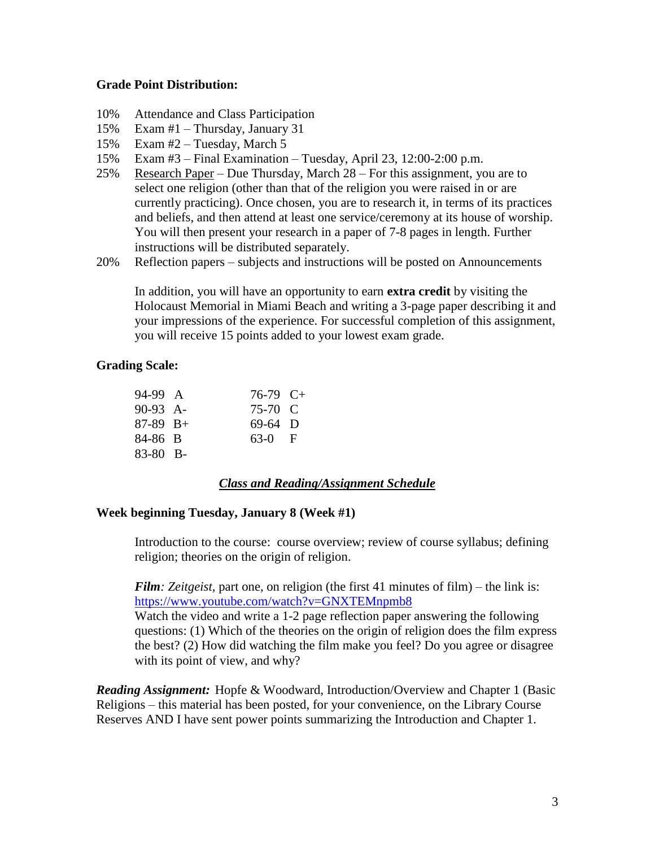## **Grade Point Distribution:**

- 10% Attendance and Class Participation
- 15% Exam #1 Thursday, January 31
- 15% Exam #2 Tuesday, March 5
- 15% Exam #3 Final Examination Tuesday, April 23, 12:00-2:00 p.m.
- 25% Research Paper Due Thursday, March 28 For this assignment, you are to select one religion (other than that of the religion you were raised in or are currently practicing). Once chosen, you are to research it, in terms of its practices and beliefs, and then attend at least one service/ceremony at its house of worship. You will then present your research in a paper of 7-8 pages in length. Further instructions will be distributed separately.
- 20% Reflection papers subjects and instructions will be posted on Announcements

In addition, you will have an opportunity to earn **extra credit** by visiting the Holocaust Memorial in Miami Beach and writing a 3-page paper describing it and your impressions of the experience. For successful completion of this assignment, you will receive 15 points added to your lowest exam grade.

## **Grading Scale:**

| 94-99 A    | $76-79$ C+ |  |
|------------|------------|--|
| 90-93 A-   | 75-70 C    |  |
| $87-89$ B+ | $69-64$ D  |  |
| 84-86 B    | $63-0$ F   |  |
| 83-80 B-   |            |  |

## *Class and Reading/Assignment Schedule*

## **Week beginning Tuesday, January 8 (Week #1)**

Introduction to the course: course overview; review of course syllabus; defining religion; theories on the origin of religion.

*Film: Zeitgeist*, part one, on religion (the first 41 minutes of film) – the link is: <https://www.youtube.com/watch?v=GNXTEMnpmb8>

Watch the video and write a 1-2 page reflection paper answering the following questions: (1) Which of the theories on the origin of religion does the film express the best? (2) How did watching the film make you feel? Do you agree or disagree with its point of view, and why?

*Reading Assignment:* Hopfe & Woodward, Introduction/Overview and Chapter 1 (Basic Religions – this material has been posted, for your convenience, on the Library Course Reserves AND I have sent power points summarizing the Introduction and Chapter 1.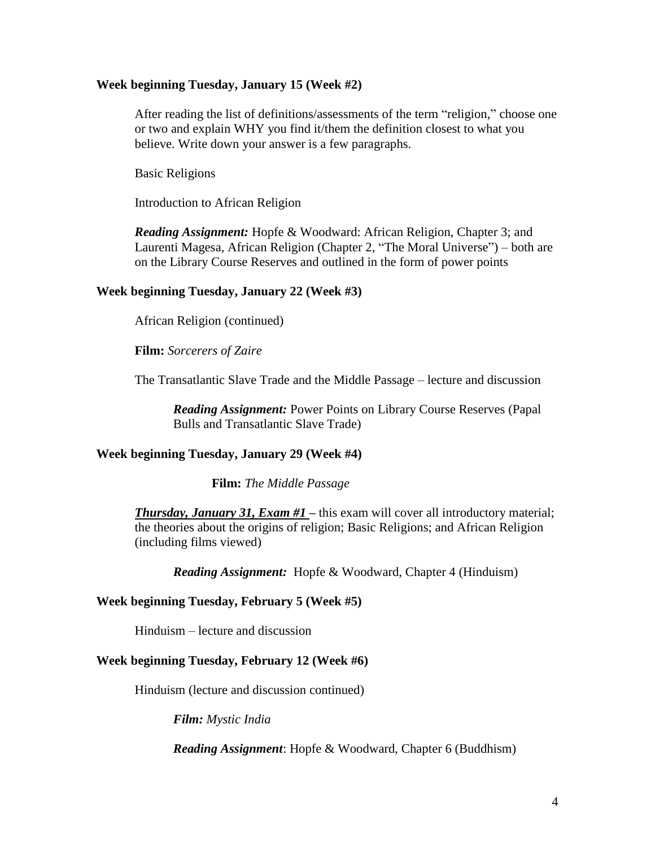#### **Week beginning Tuesday, January 15 (Week #2)**

After reading the list of definitions/assessments of the term "religion," choose one or two and explain WHY you find it/them the definition closest to what you believe. Write down your answer is a few paragraphs.

Basic Religions

Introduction to African Religion

*Reading Assignment:* Hopfe & Woodward: African Religion, Chapter 3; and Laurenti Magesa, African Religion (Chapter 2, "The Moral Universe") – both are on the Library Course Reserves and outlined in the form of power points

#### **Week beginning Tuesday, January 22 (Week #3)**

African Religion (continued)

**Film:** *Sorcerers of Zaire*

The Transatlantic Slave Trade and the Middle Passage – lecture and discussion

*Reading Assignment:* Power Points on Library Course Reserves (Papal Bulls and Transatlantic Slave Trade)

## **Week beginning Tuesday, January 29 (Week #4)**

**Film:** *The Middle Passage*

**Thursday, January 31, Exam #1** – this exam will cover all introductory material; the theories about the origins of religion; Basic Religions; and African Religion (including films viewed)

*Reading Assignment:* Hopfe & Woodward, Chapter 4 (Hinduism)

#### **Week beginning Tuesday, February 5 (Week #5)**

Hinduism – lecture and discussion

#### **Week beginning Tuesday, February 12 (Week #6)**

Hinduism (lecture and discussion continued)

*Film: Mystic India*

*Reading Assignment*: Hopfe & Woodward, Chapter 6 (Buddhism)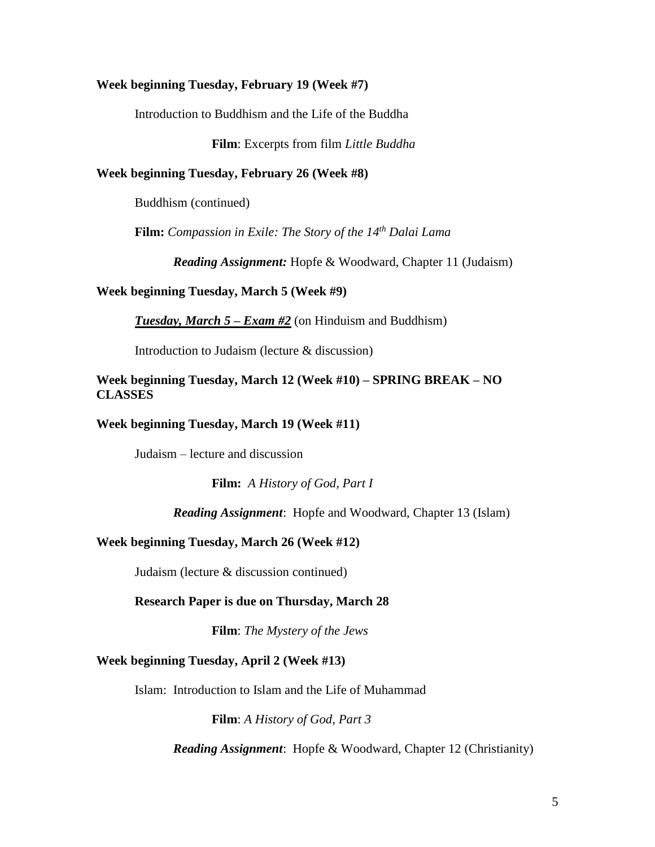#### **Week beginning Tuesday, February 19 (Week #7)**

Introduction to Buddhism and the Life of the Buddha

**Film**: Excerpts from film *Little Buddha*

#### **Week beginning Tuesday, February 26 (Week #8)**

Buddhism (continued)

**Film:** *Compassion in Exile: The Story of the 14th Dalai Lama*

*Reading Assignment:* Hopfe & Woodward, Chapter 11 (Judaism)

#### **Week beginning Tuesday, March 5 (Week #9)**

*Tuesday, March 5 – Exam #2* (on Hinduism and Buddhism)

Introduction to Judaism (lecture & discussion)

## **Week beginning Tuesday, March 12 (Week #10) – SPRING BREAK – NO CLASSES**

## **Week beginning Tuesday, March 19 (Week #11)**

Judaism – lecture and discussion

**Film:** *A History of God, Part I*

*Reading Assignment*: Hopfe and Woodward, Chapter 13 (Islam)

#### **Week beginning Tuesday, March 26 (Week #12)**

Judaism (lecture & discussion continued)

#### **Research Paper is due on Thursday, March 28**

**Film**: *The Mystery of the Jews*

### **Week beginning Tuesday, April 2 (Week #13)**

Islam: Introduction to Islam and the Life of Muhammad

**Film**: *A History of God, Part 3*

*Reading Assignment*: Hopfe & Woodward, Chapter 12 (Christianity)